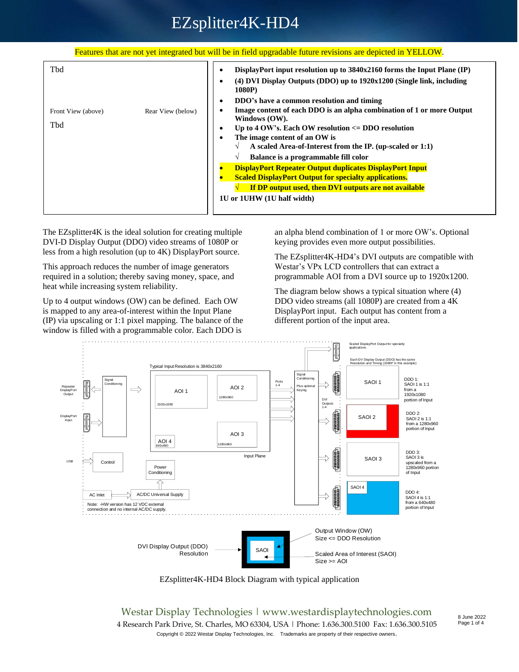### Features that are not yet integrated but will be in field upgradable future revisions are depicted in YELLOW.

| Tbd                                            | DisplayPort input resolution up to 3840x2160 forms the Input Plane (IP)<br>٠<br>(4) DVI Display Outputs (DDO) up to 1920x1200 (Single link, including<br>1080P)                                                                                                                                                                                                       |
|------------------------------------------------|-----------------------------------------------------------------------------------------------------------------------------------------------------------------------------------------------------------------------------------------------------------------------------------------------------------------------------------------------------------------------|
| Rear View (below)<br>Front View (above)<br>Tbd | DDO's have a common resolution and timing<br>٠<br>Image content of each DDO is an alpha combination of 1 or more Output<br>٠<br>Windows (OW).<br>Up to 4 OW's. Each OW resolution $\leq$ DDO resolution<br>٠<br>The image content of an OW is<br>٠<br>A scaled Area-of-Interest from the IP. (up-scaled or 1:1)<br>Balance is a programmable fill color<br>$\sqrt{ }$ |
|                                                | <b>DisplayPort Repeater Output duplicates DisplayPort Input</b><br><b>Scaled DisplayPort Output for specialty applications.</b><br>If DP output used, then DVI outputs are not available<br>1U or 1UHW (1U half width)                                                                                                                                                |

The EZsplitter4K is the ideal solution for creating multiple DVI-D Display Output (DDO) video streams of 1080P or less from a high resolution (up to 4K) DisplayPort source.

This approach reduces the number of image generators required in a solution; thereby saving money, space, and heat while increasing system reliability.

Up to 4 output windows (OW) can be defined. Each OW is mapped to any area-of-interest within the Input Plane (IP) via upscaling or 1:1 pixel mapping. The balance of the window is filled with a programmable color. Each DDO is

an alpha blend combination of 1 or more OW's. Optional keying provides even more output possibilities.

The EZsplitter4K-HD4's DVI outputs are compatible with Westar's VPx LCD controllers that can extract a programmable AOI from a DVI source up to 1920x1200.

The diagram below shows a typical situation where (4) DDO video streams (all 1080P) are created from a 4K DisplayPort input. Each output has content from a different portion of the input area.



EZsplitter4K-HD4 Block Diagram with typical application

Westar Display Technologies | www.westardisplaytechnologies.com 4 Research Park Drive, St. Charles, MO 63304, USA | Phone: 1.636.300.5100 Fax: 1.636.300.5105 Copyright © 2022 Westar Display Technologies, Inc. Trademarks are property of their respective owners.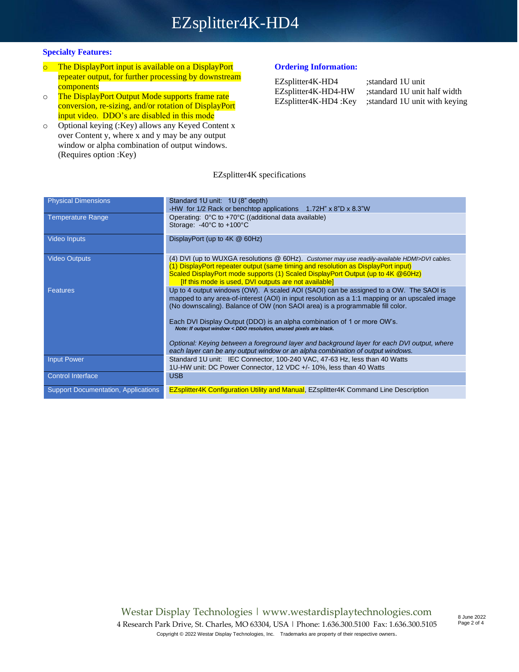### **Specialty Features:**

- o The DisplayPort input is available on a DisplayPort repeater output, for further processing by downstream **components**
- o The DisplayPort Output Mode supports frame rate conversion, re-sizing, and/or rotation of DisplayPort input video. DDO's are disabled in this mode
- o Optional keying (:Key) allows any Keyed Content x over Content y, where x and y may be any output window or alpha combination of output windows. (Requires option :Key)

### **Ordering Information:**

| EZsplitter4K-HD4     |
|----------------------|
| EZsplitter4K-HD4-HW  |
| EZsplitter4K-HD4:Key |

;standard 1U unit ;standard 1U unit half width ;standard 1U unit with keying

### EZsplitter4K specifications

| <b>Physical Dimensions</b>                 | Standard 1U unit: 1U (8" depth)                                                                |
|--------------------------------------------|------------------------------------------------------------------------------------------------|
|                                            | -HW for 1/2 Rack or benchtop applications 1.72H" x 8"D x 8.3"W                                 |
|                                            |                                                                                                |
| <b>Temperature Range</b>                   | Operating: 0°C to +70°C ((additional data available)                                           |
|                                            | Storage: -40°C to +100°C                                                                       |
| <b>Video Inputs</b>                        | DisplayPort (up to 4K @ 60Hz)                                                                  |
|                                            |                                                                                                |
|                                            |                                                                                                |
| <b>Video Outputs</b>                       | (4) DVI (up to WUXGA resolutions @ 60Hz). Customer may use readily-available HDMI>DVI cables.  |
|                                            | (1) DisplayPort repeater output (same timing and resolution as DisplayPort input)              |
|                                            | Scaled DisplayPort mode supports (1) Scaled DisplayPort Output (up to 4K @ 60Hz)               |
|                                            | <b>If this mode is used. DVI outputs are not available]</b>                                    |
|                                            |                                                                                                |
| <b>Features</b>                            | Up to 4 output windows (OW). A scaled AOI (SAOI) can be assigned to a OW. The SAOI is          |
|                                            | mapped to any area-of-interest (AOI) in input resolution as a 1:1 mapping or an upscaled image |
|                                            | (No downscaling). Balance of OW (non SAOI area) is a programmable fill color.                  |
|                                            |                                                                                                |
|                                            | Each DVI Display Output (DDO) is an alpha combination of 1 or more OW's.                       |
|                                            | Note: If output window < DDO resolution, unused pixels are black.                              |
|                                            |                                                                                                |
|                                            | Optional: Keying between a foreground layer and background layer for each DVI output, where    |
|                                            | each layer can be any output window or an alpha combination of output windows.                 |
| <b>Input Power</b>                         | Standard 1U unit: IEC Connector, 100-240 VAC, 47-63 Hz, less than 40 Watts                     |
|                                            | 1U-HW unit: DC Power Connector, 12 VDC +/- 10%, less than 40 Watts                             |
|                                            |                                                                                                |
| <b>Control Interface</b>                   | <b>USB</b>                                                                                     |
|                                            |                                                                                                |
| <b>Support Documentation, Applications</b> | <b>EZsplitter4K Configuration Utility and Manual, EZsplitter4K Command Line Description</b>    |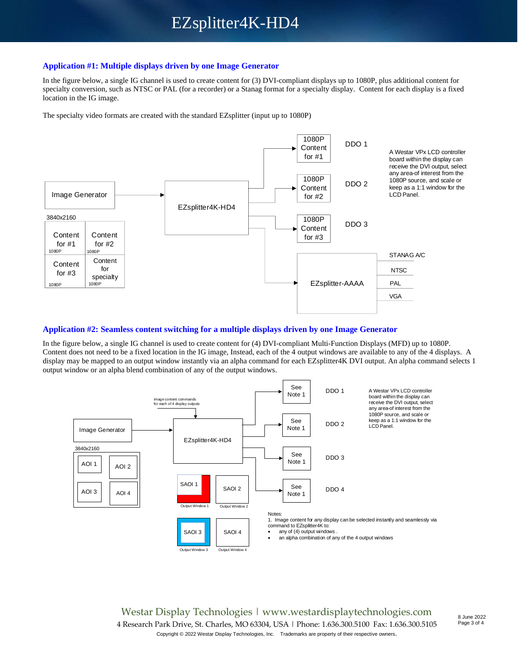### **Application #1: Multiple displays driven by one Image Generator**

In the figure below, a single IG channel is used to create content for (3) DVI-compliant displays up to 1080P, plus additional content for specialty conversion, such as NTSC or PAL (for a recorder) or a Stanag format for a specialty display. Content for each display is a fixed location in the IG image.

The specialty video formats are created with the standard EZsplitter (input up to 1080P)



### **Application #2: Seamless content switching for a multiple displays driven by one Image Generator**

In the figure below, a single IG channel is used to create content for (4) DVI-compliant Multi-Function Displays (MFD) up to 1080P. Content does not need to be a fixed location in the IG image, Instead, each of the 4 output windows are available to any of the 4 displays. A display may be mapped to an output window instantly via an alpha command for each EZsplitter4K DVI output. An alpha command selects 1 output window or an alpha blend combination of any of the output windows.



Westar Display Technologies | www.westardisplaytechnologies.com 4 Research Park Drive, St. Charles, MO 63304, USA | Phone: 1.636.300.5100 Fax: 1.636.300.5105 Copyright © 2022 Westar Display Technologies, Inc. Trademarks are property of their respective owners.